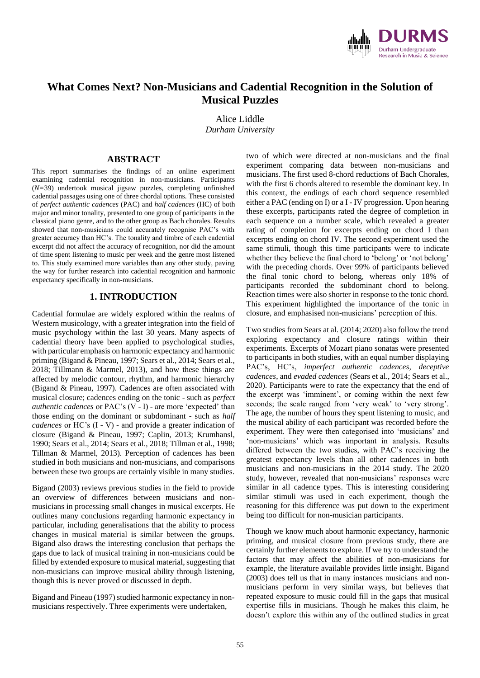

# **What Comes Next? Non-Musicians and Cadential Recognition in the Solution of Musical Puzzles**

Alice Liddle *Durham University*

## **ABSTRACT**

This report summarises the findings of an online experiment examining cadential recognition in non-musicians. Participants (*N=*39) undertook musical jigsaw puzzles, completing unfinished cadential passages using one of three chordal options. These consisted of *perfect authentic cadences* (PAC) and *half cadences* (HC) of both major and minor tonality, presented to one group of participants in the classical piano genre, and to the other group as Bach chorales. Results showed that non-musicians could accurately recognise PAC's with greater accuracy than HC's. The tonality and timbre of each cadential excerpt did not affect the accuracy of recognition, nor did the amount of time spent listening to music per week and the genre most listened to. This study examined more variables than any other study, paving the way for further research into cadential recognition and harmonic expectancy specifically in non-musicians.

# **1. INTRODUCTION**

Cadential formulae are widely explored within the realms of Western musicology, with a greater integration into the field of music psychology within the last 30 years. Many aspects of cadential theory have been applied to psychological studies, with particular emphasis on harmonic expectancy and harmonic priming (Bigand & Pineau, 1997; Sears et al., 2014; Sears et al., 2018; Tillmann & Marmel, 2013), and how these things are affected by melodic contour, rhythm, and harmonic hierarchy (Bigand & Pineau, 1997). Cadences are often associated with musical closure; cadences ending on the tonic - such as *perfect authentic cadences* or PAC's (V - I) - are more 'expected' than those ending on the dominant or subdominant - such as *half cadences* or HC's (I - V) - and provide a greater indication of closure (Bigand & Pineau, 1997; Caplin, 2013; Krumhansl, 1990; Sears et al., 2014; Sears et al., 2018; Tillman et al., 1998; Tillman & Marmel, 2013). Perception of cadences has been studied in both musicians and non-musicians, and comparisons between these two groups are certainly visible in many studies.

Bigand (2003) reviews previous studies in the field to provide an overview of differences between musicians and nonmusicians in processing small changes in musical excerpts. He outlines many conclusions regarding harmonic expectancy in particular, including generalisations that the ability to process changes in musical material is similar between the groups. Bigand also draws the interesting conclusion that perhaps the gaps due to lack of musical training in non-musicians could be filled by extended exposure to musical material, suggesting that non-musicians can improve musical ability through listening, though this is never proved or discussed in depth.

Bigand and Pineau (1997) studied harmonic expectancy in nonmusicians respectively. Three experiments were undertaken,

two of which were directed at non-musicians and the final experiment comparing data between non-musicians and musicians. The first used 8-chord reductions of Bach Chorales, with the first 6 chords altered to resemble the dominant key. In this context, the endings of each chord sequence resembled either a PAC (ending on I) or a I - IV progression. Upon hearing these excerpts, participants rated the degree of completion in each sequence on a number scale, which revealed a greater rating of completion for excerpts ending on chord I than excerpts ending on chord IV. The second experiment used the same stimuli, though this time participants were to indicate whether they believe the final chord to 'belong' or 'not belong' with the preceding chords. Over 99% of participants believed the final tonic chord to belong, whereas only 18% of participants recorded the subdominant chord to belong. Reaction times were also shorter in response to the tonic chord. This experiment highlighted the importance of the tonic in closure, and emphasised non-musicians' perception of this.

Two studies from Sears at al. (2014; 2020) also follow the trend exploring expectancy and closure ratings within their experiments. Excerpts of Mozart piano sonatas were presented to participants in both studies, with an equal number displaying PAC's, HC's, *imperfect authentic cadences, deceptive cadences*, and *evaded cadences* (Sears et al., 2014; Sears et al., 2020). Participants were to rate the expectancy that the end of the excerpt was 'imminent', or coming within the next few seconds; the scale ranged from 'very weak' to 'very strong'. The age, the number of hours they spent listening to music, and the musical ability of each participant was recorded before the experiment. They were then categorised into 'musicians' and 'non-musicians' which was important in analysis. Results differed between the two studies, with PAC's receiving the greatest expectancy levels than all other cadences in both musicians and non-musicians in the 2014 study. The 2020 study, however, revealed that non-musicians' responses were similar in all cadence types. This is interesting considering similar stimuli was used in each experiment, though the reasoning for this difference was put down to the experiment being too difficult for non-musician participants.

Though we know much about harmonic expectancy, harmonic priming, and musical closure from previous study, there are certainly further elements to explore. If we try to understand the factors that may affect the abilities of non-musicians for example, the literature available provides little insight. Bigand (2003) does tell us that in many instances musicians and nonmusicians perform in very similar ways, but believes that repeated exposure to music could fill in the gaps that musical expertise fills in musicians. Though he makes this claim, he doesn't explore this within any of the outlined studies in great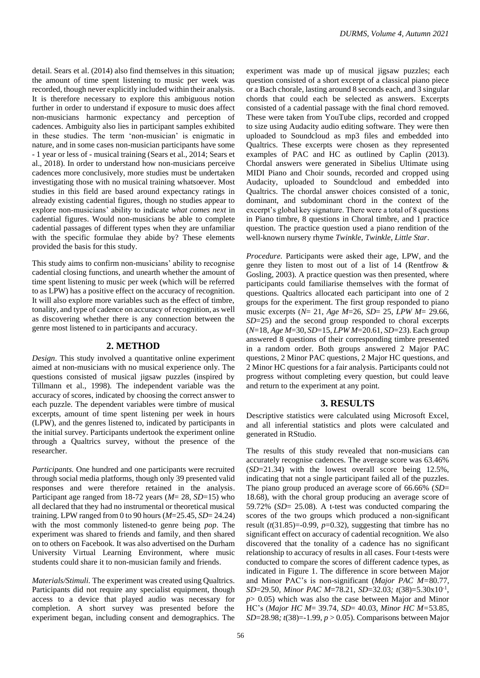detail. Sears et al. (2014) also find themselves in this situation; the amount of time spent listening to music per week was recorded, though never explicitly included within their analysis. It is therefore necessary to explore this ambiguous notion further in order to understand if exposure to music does affect non-musicians harmonic expectancy and perception of cadences. Ambiguity also lies in participant samples exhibited in these studies. The term 'non-musician' is enigmatic in nature, and in some cases non-musician participants have some - 1 year or less of - musical training (Sears et al., 2014; Sears et al., 2018). In order to understand how non-musicians perceive cadences more conclusively, more studies must be undertaken investigating those with no musical training whatsoever. Most studies in this field are based around expectancy ratings in already existing cadential figures, though no studies appear to explore non-musicians' ability to indicate *what comes next* in cadential figures. Would non-musicians be able to complete cadential passages of different types when they are unfamiliar with the specific formulae they abide by? These elements provided the basis for this study.

This study aims to confirm non-musicians' ability to recognise cadential closing functions, and unearth whether the amount of time spent listening to music per week (which will be referred to as LPW) has a positive effect on the accuracy of recognition. It will also explore more variables such as the effect of timbre, tonality, and type of cadence on accuracy of recognition, as well as discovering whether there is any connection between the genre most listened to in participants and accuracy.

#### **2. METHOD**

*Design*. This study involved a quantitative online experiment aimed at non-musicians with no musical experience only. The questions consisted of musical jigsaw puzzles (inspired by Tillmann et al., 1998). The independent variable was the accuracy of scores, indicated by choosing the correct answer to each puzzle. The dependent variables were timbre of musical excerpts, amount of time spent listening per week in hours (LPW), and the genres listened to, indicated by participants in the initial survey. Participants undertook the experiment online through a Qualtrics survey, without the presence of the researcher.

*Participants.* One hundred and one participants were recruited through social media platforms, though only 39 presented valid responses and were therefore retained in the analysis. Participant age ranged from 18-72 years (*M*= 28, *SD*=15) who all declared that they had no instrumental or theoretical musical training. LPW ranged from 0 to 90 hours (*M*=25.45, *SD*= 24.24) with the most commonly listened-to genre being *pop*. The experiment was shared to friends and family, and then shared on to others on Facebook. It was also advertised on the Durham University Virtual Learning Environment, where music students could share it to non-musician family and friends.

*Materials/Stimuli.* The experiment was created using Qualtrics. Participants did not require any specialist equipment, though access to a device that played audio was necessary for completion. A short survey was presented before the experiment began, including consent and demographics. The

experiment was made up of musical jigsaw puzzles; each question consisted of a short excerpt of a classical piano piece or a Bach chorale, lasting around 8 seconds each, and 3 singular chords that could each be selected as answers. Excerpts consisted of a cadential passage with the final chord removed. These were taken from YouTube clips, recorded and cropped to size using Audacity audio editing software. They were then uploaded to Soundcloud as mp3 files and embedded into Qualtrics. These excerpts were chosen as they represented examples of PAC and HC as outlined by Caplin (2013). Chordal answers were generated in Sibelius Ultimate using MIDI Piano and Choir sounds, recorded and cropped using Audacity, uploaded to Soundcloud and embedded into Qualtrics. The chordal answer choices consisted of a tonic, dominant, and subdominant chord in the context of the excerpt's global key signature. There were a total of 8 questions in Piano timbre, 8 questions in Choral timbre, and 1 practice question. The practice question used a piano rendition of the well-known nursery rhyme *Twinkle, Twinkle, Little Star*.

*Procedure.* Participants were asked their age, LPW, and the genre they listen to most out of a list of 14 (Rentfrow & Gosling, 2003). A practice question was then presented, where participants could familiarise themselves with the format of questions. Qualtrics allocated each participant into one of 2 groups for the experiment. The first group responded to piano music excerpts (*N*= 21, *Age M*=26, *SD*= 25, *LPW M*= 29.66, *SD*=25) and the second group responded to choral excerpts (*N*=18, *Age M*=30, *SD*=15, *LPW M*=20.61, *SD*=23). Each group answered 8 questions of their corresponding timbre presented in a random order. Both groups answered 2 Major PAC questions, 2 Minor PAC questions, 2 Major HC questions, and 2 Minor HC questions for a fair analysis. Participants could not progress without completing every question, but could leave and return to the experiment at any point.

## **3. RESULTS**

Descriptive statistics were calculated using Microsoft Excel, and all inferential statistics and plots were calculated and generated in RStudio.

The results of this study revealed that non-musicians can accurately recognise cadences. The average score was 63.46% (*SD*=21.34) with the lowest overall score being 12.5%, indicating that not a single participant failed all of the puzzles. The piano group produced an average score of 66.66% (*SD*= 18.68), with the choral group producing an average score of 59.72% (*SD*= 25.08). A t-test was conducted comparing the scores of the two groups which produced a non-significant result  $(t(31.85)=0.99, p=0.32)$ , suggesting that timbre has no significant effect on accuracy of cadential recognition. We also discovered that the tonality of a cadence has no significant relationship to accuracy of results in all cases. Four t-tests were conducted to compare the scores of different cadence types, as indicated in Figure 1. The difference in score between Major and Minor PAC's is non-significant (*Major PAC M=*80.77, *SD*=29.50*, Minor PAC M*=78.21, *SD*=32.03*; t*(38)=5.30x10-1 , *p*> 0.05) which was also the case between Major and Minor HC's (*Major HC M*= 39.74, *SD*= 40.03, *Minor HC M=*53.85, *SD*=28.98*; t*(38)=-1.99, *p* > 0.05). Comparisons between Major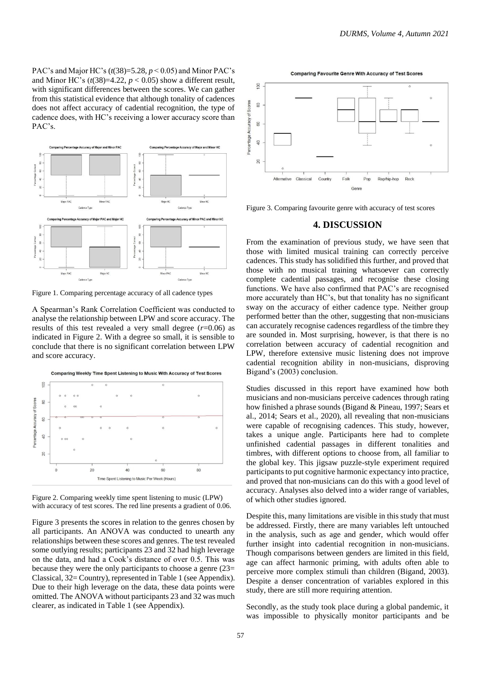PAC's and Major HC's (*t*(38)=5.28, *p* < 0.05) and Minor PAC's and Minor HC's  $(t(38)=4.22, p < 0.05)$  show a different result, with significant differences between the scores. We can gather from this statistical evidence that although tonality of cadences does not affect accuracy of cadential recognition, the type of cadence does, with HC's receiving a lower accuracy score than PAC's.



Figure 1. Comparing percentage accuracy of all cadence types

A Spearman's Rank Correlation Coefficient was conducted to analyse the relationship between LPW and score accuracy. The results of this test revealed a very small degree  $(r=0.06)$  as indicated in Figure 2. With a degree so small, it is sensible to conclude that there is no significant correlation between LPW and score accuracy.

Comparing Weekly Time Spent Listening to Music With Accuracy of Test Scores



Figure 2. Comparing weekly time spent listening to music (LPW) with accuracy of test scores. The red line presents a gradient of 0.06.

Figure 3 presents the scores in relation to the genres chosen by all participants. An ANOVA was conducted to unearth any relationships between these scores and genres. The test revealed some outlying results; participants 23 and 32 had high leverage on the data, and had a Cook's distance of over 0.5. This was because they were the only participants to choose a genre (23= Classical, 32= Country), represented in Table 1 (see Appendix). Due to their high leverage on the data, these data points were omitted. The ANOVA without participants 23 and 32 was much clearer, as indicated in Table 1 (see Appendix).

**Comparing Favourite Genre With Accuracy of Test Scores** 



Figure 3. Comparing favourite genre with accuracy of test scores

## **4. DISCUSSION**

From the examination of previous study, we have seen that those with limited musical training can correctly perceive cadences. This study has solidified this further, and proved that those with no musical training whatsoever can correctly complete cadential passages, and recognise these closing functions. We have also confirmed that PAC's are recognised more accurately than HC's, but that tonality has no significant sway on the accuracy of either cadence type. Neither group performed better than the other, suggesting that non-musicians can accurately recognise cadences regardless of the timbre they are sounded in. Most surprising, however, is that there is no correlation between accuracy of cadential recognition and LPW, therefore extensive music listening does not improve cadential recognition ability in non-musicians, disproving Bigand's (2003) conclusion.

Studies discussed in this report have examined how both musicians and non-musicians perceive cadences through rating how finished a phrase sounds (Bigand & Pineau, 1997; Sears et al., 2014; Sears et al., 2020), all revealing that non-musicians were capable of recognising cadences. This study, however, takes a unique angle. Participants here had to complete unfinished cadential passages in different tonalities and timbres, with different options to choose from, all familiar to the global key. This jigsaw puzzle-style experiment required participants to put cognitive harmonic expectancy into practice, and proved that non-musicians can do this with a good level of accuracy. Analyses also delved into a wider range of variables, of which other studies ignored.

Despite this, many limitations are visible in this study that must be addressed. Firstly, there are many variables left untouched in the analysis, such as age and gender, which would offer further insight into cadential recognition in non-musicians. Though comparisons between genders are limited in this field, age can affect harmonic priming, with adults often able to perceive more complex stimuli than children (Bigand, 2003). Despite a denser concentration of variables explored in this study, there are still more requiring attention.

Secondly, as the study took place during a global pandemic, it was impossible to physically monitor participants and be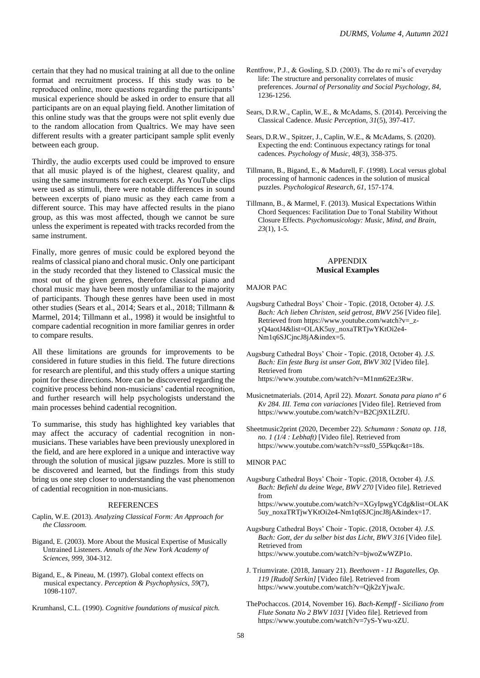certain that they had no musical training at all due to the online format and recruitment process. If this study was to be reproduced online, more questions regarding the participants' musical experience should be asked in order to ensure that all participants are on an equal playing field. Another limitation of this online study was that the groups were not split evenly due to the random allocation from Qualtrics. We may have seen different results with a greater participant sample split evenly between each group.

Thirdly, the audio excerpts used could be improved to ensure that all music played is of the highest, clearest quality, and using the same instruments for each excerpt. As YouTube clips were used as stimuli, there were notable differences in sound between excerpts of piano music as they each came from a different source. This may have affected results in the piano group, as this was most affected, though we cannot be sure unless the experiment is repeated with tracks recorded from the same instrument.

Finally, more genres of music could be explored beyond the realms of classical piano and choral music. Only one participant in the study recorded that they listened to Classical music the most out of the given genres, therefore classical piano and choral music may have been mostly unfamiliar to the majority of participants. Though these genres have been used in most other studies (Sears et al., 2014; Sears et al., 2018; Tillmann & Marmel, 2014; Tillmann et al., 1998) it would be insightful to compare cadential recognition in more familiar genres in order to compare results.

All these limitations are grounds for improvements to be considered in future studies in this field. The future directions for research are plentiful, and this study offers a unique starting point for these directions. More can be discovered regarding the cognitive process behind non-musicians' cadential recognition, and further research will help psychologists understand the main processes behind cadential recognition.

To summarise, this study has highlighted key variables that may affect the accuracy of cadential recognition in nonmusicians. These variables have been previously unexplored in the field, and are here explored in a unique and interactive way through the solution of musical jigsaw puzzles. More is still to be discovered and learned, but the findings from this study bring us one step closer to understanding the vast phenomenon of cadential recognition in non-musicians.

#### REFERENCES

- Caplin, W.E. (2013). *Analyzing Classical Form: An Approach for the Classroom.*
- Bigand, E. (2003). More About the Musical Expertise of Musically Untrained Listeners. *Annals of the New York Academy of Sciences*, *999*, 304-312.
- Bigand, E., & Pineau, M. (1997). Global context effects on musical expectancy. *Perception & Psychophysics, 59*(7), 1098-1107.
- Krumhansl, C.L. (1990). *Cognitive foundations of musical pitch.*
- Rentfrow, P.J., & Gosling, S.D. (2003). The do re mi's of everyday life: The structure and personality correlates of music preferences. *Journal of Personality and Social Psychology, 84*, 1236-1256.
- Sears, D.R.W., Caplin, W.E., & McAdams, S. (2014). Perceiving the Classical Cadence. *Music Perception, 31*(5), 397-417.
- Sears, D.R.W., Spitzer, J., Caplin, W.E., & McAdams, S. (2020). Expecting the end: Continuous expectancy ratings for tonal cadences. *Psychology of Music, 48*(3), 358-375.
- Tillmann, B., Bigand, E., & Madurell, F. (1998). Local versus global processing of harmonic cadences in the solution of musical puzzles. *Psychological Research, 61*, 157-174.
- Tillmann, B., & Marmel, F. (2013). Musical Expectations Within Chord Sequences: Facilitation Due to Tonal Stability Without Closure Effects. *Psychomusicology: Music, Mind, and Brain*, *23*(1), 1-5.

#### APPENDIX **Musical Examples**

#### MAJOR PAC

- Augsburg Cathedral Boys' Choir Topic. (2018, October 4*). J.S. Bach: Ach lieben Christen, seid getrost, BWV 256* [Video file]. Retrieved from https://www.youtube.com/watch?v=\_zyQ4aotJ4&list=OLAK5uy\_noxaTRTjwYKtOi2e4- Nm1q6SJCjncJ8jA&index=5.
- Augsburg Cathedral Boys' Choir Topic. (2018, October 4). *J.S. Bach: Ein feste Burg ist unser Gott, BWV 302* [Video file]. Retrieved from https://www.youtube.com/watch?v=M1nm62Ez3Rw.
- Musicnetmaterials. (2014, April 22). *Mozart. Sonata para piano nº 6 Kv 284. III. Tema con variaciones* [Video file]. Retrieved from https://www.youtube.com/watch?v=B2Cj9X1LZfU.
- Sheetmusic2print (2020, December 22). *Schumann : Sonata op. 118, no. 1 (1/4 : Lebhaft)* [Video file]. Retrieved from https://www.youtube.com/watch?v=ssf0\_55Pkqc&t=18s.

#### MINOR PAC

- Augsburg Cathedral Boys' Choir Topic. (2018, October 4). *J.S. Bach: Befiehl du deine Wege, BWV 270* [Video file]. Retrieved from https://www.youtube.com/watch?v=XGyIpwgYCdg&list=OLAK 5uy\_noxaTRTjwYKtOi2e4-Nm1q6SJCjncJ8jA&index=17.
- Augsburg Cathedral Boys' Choir Topic. (2018, October 4*). J.S. Bach: Gott, der du selber bist das Licht, BWV 316* [Video file]. Retrieved from https://www.youtube.com/watch?v=bjwoZwWZP1o.
- J. Triumvirate. (2018, January 21). *Beethoven - 11 Bagatelles, Op. 119 [Rudolf Serkin]* [Video file]. Retrieved from https://www.youtube.com/watch?v=Qjk2zYjwaJc.
- ThePochaccos. (2014, November 16). *Bach-Kempff - Siciliano from Flute Sonata No 2 BWV 1031* [Video file]. Retrieved from https://www.youtube.com/watch?v=7yS-Ywu-xZU.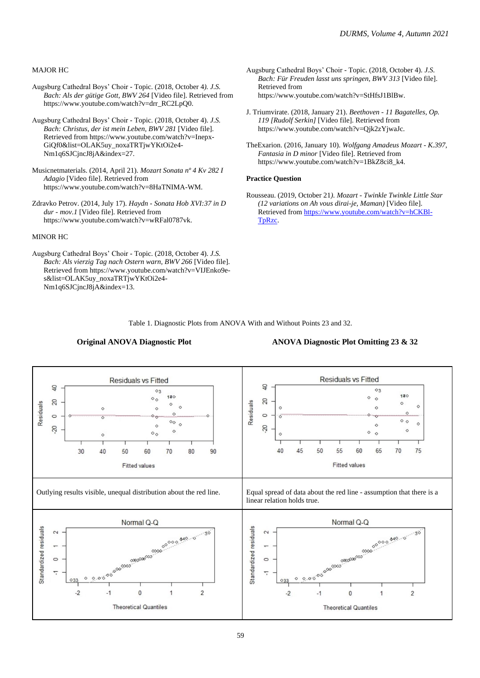#### MAJOR HC

- Augsburg Cathedral Boys' Choir Topic. (2018, October 4*). J.S. Bach: Als der gütige Gott, BWV 264* [Video file]. Retrieved from https://www.youtube.com/watch?v=drr\_RC2LpQ0.
- Augsburg Cathedral Boys' Choir Topic. (2018, October 4). *J.S. Bach: Christus, der ist mein Leben, BWV 281* [Video file]. Retrieved from https://www.youtube.com/watch?v=Inepx-GiQf0&list=OLAK5uy\_noxaTRTjwYKtOi2e4- Nm1q6SJCjncJ8jA&index=27.
- Musicnetmaterials. (2014, April 21). *Mozart Sonata nº 4 Kv 282 I Adagio* [Video file]. Retrieved from https://www.youtube.com/watch?v=8HaTNIMA-WM.
- Zdravko Petrov. (2014, July 17). *Haydn - Sonata Hob XVI:37 in D dur - mov.1* [Video file]. Retrieved from https://www.youtube.com/watch?v=wRFal0787vk.

#### MINOR HC

Augsburg Cathedral Boys' Choir - Topic. (2018, October 4). *J.S. Bach: Als vierzig Tag nach Ostern warn, BWV 266* [Video file]. Retrieved from https://www.youtube.com/watch?v=VIJEnko9es&list=OLAK5uy\_noxaTRTjwYKtOi2e4- Nm1q6SJCjncJ8jA&index=13.

- Augsburg Cathedral Boys' Choir Topic. (2018, October 4). *J.S. Bach: Für Freuden lasst uns springen, BWV 313* [Video file]. Retrieved from https://www.youtube.com/watch?v=StHfsJ1BlBw.
- J. Triumvirate. (2018, January 21). *Beethoven - 11 Bagatelles, Op. 119 [Rudolf Serkin]* [Video file]. Retrieved from https://www.youtube.com/watch?v=Qjk2zYjwaJc.
- TheExarion. (2016, January 10). *Wolfgang Amadeus Mozart - K.397, Fantasia in D minor* [Video file]. Retrieved from https://www.youtube.com/watch?v=1BkZ8ci8\_k4.

#### **Practice Question**

Rousseau. (2019, October 21*). Mozart - Twinkle Twinkle Little Star (12 variations on Ah vous dirai-je, Maman)* [Video file]. Retrieved from [https://www.youtube.com/watch?v=hCKBl-](https://www.youtube.com/watch?v=hCKBl-TpRzc)[TpRzc.](https://www.youtube.com/watch?v=hCKBl-TpRzc)

Table 1. Diagnostic Plots from ANOVA With and Without Points 23 and 32.

**Residuals vs Fitted Residuals vs Fitted** g  $\overline{a}$  $\circ$ <sub>3</sub>  $0<sub>2</sub>$  $120$  $120$  $\circ$  $\circ$  $\circ$ 20  $\infty$ Residuals  $\circ$  $\circ$ Residuals  $\circ$  $\circ$  $\circ$  $\sim$  $\circ$  $\circ$ ø  $\circ$  $\circ$  $\circ$  $\circ$  $\circ$  $\circ$  $\infty$  $\infty$  $\circ$  $\circ$  $\circ$  $\circ$  $\circ$  $\circ$ 75 40  $4F$ 50 55 60 65  $70$ 30 40 50 60 70 80 90 **Fitted values Fitted values** Outlying results visible, unequal distribution about the red line. Equal spread of data about the red line - assumption that there is a linear relation holds true.Normal Q-Q Normal Q-Q Standardized residuals 000000000000 Standardized residuals  $\sim$ dò.  $\sim$ . só a aa <sup>cooonna</sup>a aa  $\circ$  $\circ$ ÷ ĸè  $\circ$  $\circ$  $\overline{2}$  $\cdot$  $\cdot$ 1  $\mathbf 0$  $\overline{1}$  $-2$  $\Omega$  $\mathbf{1}$  $\overline{c}$  $-1$ **Theoretical Quantiles Theoretical Quantiles** 

# **Original ANOVA Diagnostic Plot ANOVA Diagnostic Plot Omitting 23 & 32**